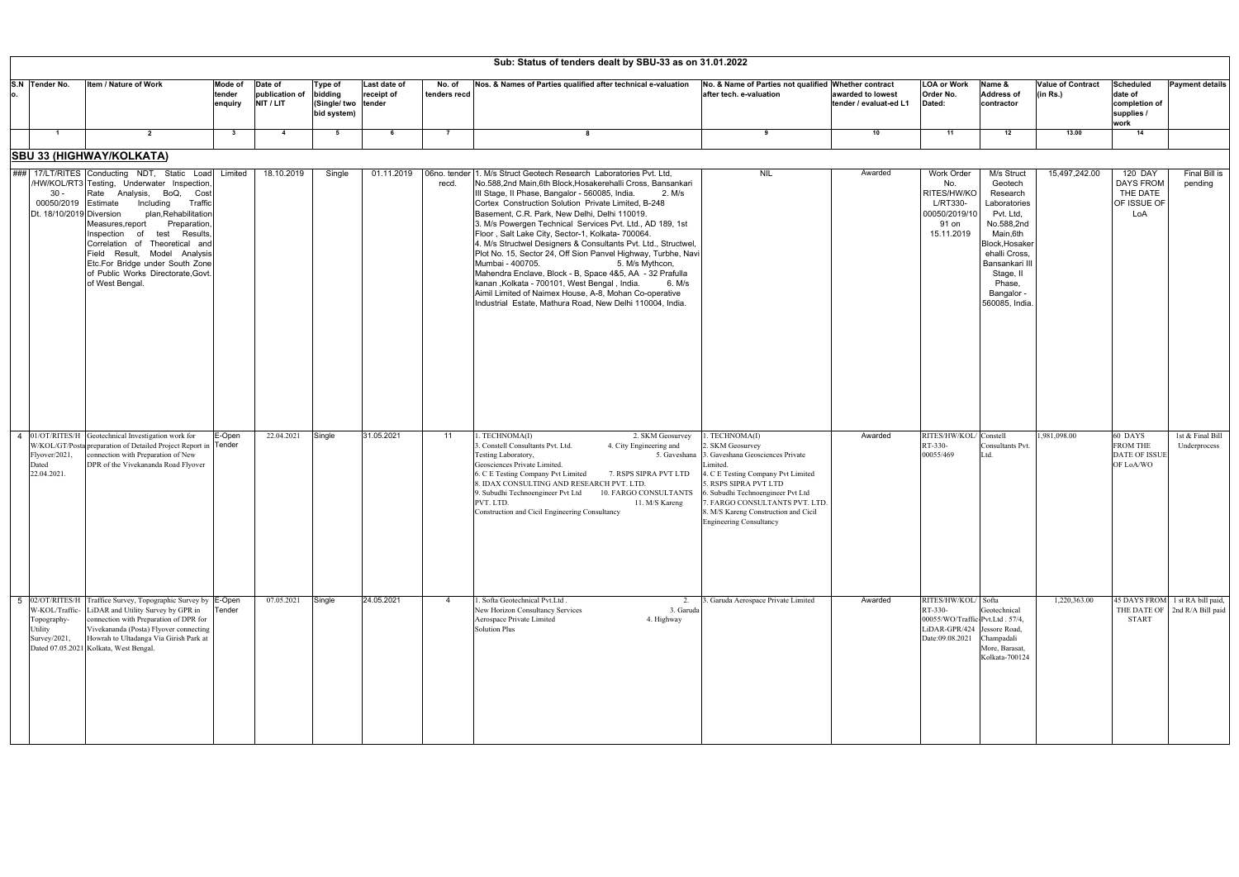| Sub: Status of tenders dealt by SBU-33 as on 31.01.2022  |                                                                                                                                                                                                                                                                                                                                                                                                                     |                              |                                        |                                                   |                                      |                        |                                                                                                                                                                                                                                                                                                                                                                                                                                                                                                                                                                                                                                                                                                                                                                                                                                  |                                                                                                                                                                                                                                                                                   |                                             |                                                                                                       |                                                                                                                                                                                                       |                                      |                                                                    |                                                                  |
|----------------------------------------------------------|---------------------------------------------------------------------------------------------------------------------------------------------------------------------------------------------------------------------------------------------------------------------------------------------------------------------------------------------------------------------------------------------------------------------|------------------------------|----------------------------------------|---------------------------------------------------|--------------------------------------|------------------------|----------------------------------------------------------------------------------------------------------------------------------------------------------------------------------------------------------------------------------------------------------------------------------------------------------------------------------------------------------------------------------------------------------------------------------------------------------------------------------------------------------------------------------------------------------------------------------------------------------------------------------------------------------------------------------------------------------------------------------------------------------------------------------------------------------------------------------|-----------------------------------------------------------------------------------------------------------------------------------------------------------------------------------------------------------------------------------------------------------------------------------|---------------------------------------------|-------------------------------------------------------------------------------------------------------|-------------------------------------------------------------------------------------------------------------------------------------------------------------------------------------------------------|--------------------------------------|--------------------------------------------------------------------|------------------------------------------------------------------|
| S.N Tender No.                                           | Item / Nature of Work                                                                                                                                                                                                                                                                                                                                                                                               | Mode of<br>tender<br>enquiry | Date of<br>publication of<br>NIT / LIT | Type of<br>bidding<br>(Single/ two<br>bid system) | Last date of<br>receipt of<br>tender | No. of<br>tenders recd | Nos. & Names of Parties qualified after technical e-valuation                                                                                                                                                                                                                                                                                                                                                                                                                                                                                                                                                                                                                                                                                                                                                                    | No. & Name of Parties not qualified Whether contract<br>after tech. e-valuation                                                                                                                                                                                                   | awarded to lowest<br>tender / evaluat-ed L1 | <b>LOA or Work</b><br>Order No.<br>Dated:                                                             | Name &<br><b>Address of</b><br>contractor                                                                                                                                                             | <b>Value of Contract</b><br>(in Rs.) | <b>Scheduled</b><br>date of<br>completion of<br>supplies /<br>work | <b>Payment details</b>                                           |
| $\blacksquare$                                           | $\overline{2}$                                                                                                                                                                                                                                                                                                                                                                                                      | $\mathbf{3}$                 | $\overline{4}$                         | 5                                                 | 6                                    | $\overline{7}$         |                                                                                                                                                                                                                                                                                                                                                                                                                                                                                                                                                                                                                                                                                                                                                                                                                                  | 9                                                                                                                                                                                                                                                                                 | 10                                          | 11                                                                                                    | 12                                                                                                                                                                                                    | 13.00                                | 14                                                                 |                                                                  |
|                                                          | <b>SBU 33 (HIGHWAY/KOLKATA)</b>                                                                                                                                                                                                                                                                                                                                                                                     |                              |                                        |                                                   |                                      |                        |                                                                                                                                                                                                                                                                                                                                                                                                                                                                                                                                                                                                                                                                                                                                                                                                                                  |                                                                                                                                                                                                                                                                                   |                                             |                                                                                                       |                                                                                                                                                                                                       |                                      |                                                                    |                                                                  |
| 30 -<br>00050/2019 Estimate<br>Dt. 18/10/2019 Diversion  | ### 17/LT/RITES Conducting NDT, Static Load Limited<br>/HW/KOL/RT3 Testing, Underwater Inspection,<br>Rate Analysis, BoQ, Cost<br>Traffic<br>Including<br>plan, Rehabilitation<br>Measures, report<br>Preparation<br>Inspection of<br>test<br>Results,<br>Correlation of Theoretical and<br>Field Result, Model Analysis<br>Etc.For Bridge under South Zone<br>of Public Works Directorate, Govt<br>of West Bengal. |                              | 18.10.2019                             | Single                                            | 01.11.2019                           | 06no. tender<br>recd.  | 1. M/s Struct Geotech Research Laboratories Pyt. Ltd.<br>No.588,2nd Main,6th Block, Hosakerehalli Cross, Bansankari<br>III Stage, II Phase, Bangalor - 560085, India.<br>2. M/s<br>Cortex Construction Solution Private Limited, B-248<br>Basement, C.R. Park, New Delhi, Delhi 110019.<br>3. M/s Powergen Technical Services Pvt. Ltd., AD 189, 1st<br>Floor, Salt Lake City, Sector-1, Kolkata- 700064.<br>4. M/s Structwel Designers & Consultants Pvt. Ltd., Structwel,<br>Plot No. 15, Sector 24, Off Sion Panvel Highway, Turbhe, Navi<br>Mumbai - 400705.<br>5. M/s Mythcon,<br>Mahendra Enclave, Block - B, Space 4&5, AA - 32 Prafulla<br>kanan, Kolkata - 700101, West Bengal, India.<br>6. M/s<br>Aimil Limited of Naimex House, A-8, Mohan Co-operative<br>Industrial Estate. Mathura Road. New Delhi 110004. India. | <b>NIL</b>                                                                                                                                                                                                                                                                        | Awarded                                     | Work Order<br>No.<br>RITES/HW/KC<br>L/RT330-<br>00050/2019/10<br>91 on<br>15.11.2019                  | M/s Struct<br>Geotech<br>Research<br>Laboratories<br>Pvt. Ltd,<br>No.588,2nd<br>Main, 6th<br>Block, Hosaker<br>ehalli Cross.<br>Bansankari III<br>Stage, II<br>Phase,<br>Bangalor -<br>560085, India. | 15,497,242.00                        | 120 DAY<br>DAYS FROM<br>THE DATE<br>OF ISSUE OF<br>LoA             | Final Bill is<br>pending                                         |
| Flyover/2021,<br>Dated<br>22.04.2021.                    | 4 01/OT/RITES/H Geotechnical Investigation work for<br>W/KOL/GT/Posta preparation of Detailed Project Report in Tender<br>connection with Preparation of New<br>DPR of the Vivekananda Road Flyover                                                                                                                                                                                                                 | E-Open                       | 22.04.2021                             | Single                                            | 31.05.2021                           | 11                     | . TECHNOMA(I)<br>2. SKM Geosurvey<br>. Constell Consultants Pvt. Ltd.<br>4. City Engineering and<br>Testing Laboratory,<br>5. Gaveshana<br>Geosciences Private Limited.<br>6. C E Testing Company Pvt Limited<br>7. RSPS SIPRA PVT LTD<br>8. IDAX CONSULTING AND RESEARCH PVT. LTD.<br>9. Subudhi Technoengineer Pvt Ltd<br>10. FARGO CONSULTANTS<br>11. M/S Kareng<br>PVT. LTD.<br>Construction and Cicil Engineering Consultancy                                                                                                                                                                                                                                                                                                                                                                                               | . TECHNOMA(I)<br>. SKM Geosurvey<br>3. Gaveshana Geosciences Private<br>4. C E Testing Company Pvt Limited<br>. RSPS SIPRA PVT LTD<br>. Subudhi Technoengineer Pvt Ltd<br>. FARGO CONSULTANTS PVT. LTD.<br>8. M/S Kareng Construction and Cicil<br><b>Engineering Consultancy</b> | Awarded                                     | RITES/HW/KOL<br>RT-330-<br>00055/469                                                                  | Constell<br>Consultants Pvt.<br>[td]                                                                                                                                                                  | 1,981,098.00                         | 60 DAYS<br><b>FROM THE</b><br><b>DATE OF ISSUE</b><br>OF LoA/WO    | 1st & Final Bill<br>Underprocess                                 |
| W-KOL/Traffic-<br>Topography-<br>Utility<br>Survey/2021, | 5 02/OT/RITES/H Traffice Survey, Topographic Survey by E-Open<br>LiDAR and Utility Survey by GPR in<br>connection with Preparation of DPR for<br>Vivekananda (Posta) Flyover connecting<br>Howrah to Ultadanga Via Girish Park at<br>Dated 07.05.2021 Kolkata, West Bengal.                                                                                                                                         | Tender                       | 07.05.2021                             | Single                                            | 24.05.2021                           | $\overline{4}$         | . Softa Geotechnical Pvt.Ltd.<br>2.<br>New Horizon Consultancy Services<br>3. Garuda<br>Aerospace Private Limited<br>4. Highway<br><b>Solution Plus</b>                                                                                                                                                                                                                                                                                                                                                                                                                                                                                                                                                                                                                                                                          | 3. Garuda Aerospace Private Limited                                                                                                                                                                                                                                               | Awarded                                     | RITES/HW/KOL/ Softa<br>RT-330-<br>00055/WO/Traffic-Pvt.Ltd. 57/4,<br>LiDAR-GPR/424<br>Date:09.08.2021 | Geotechnical<br>Jessore Road,<br>Champadali<br>More, Barasat,<br>Kolkata-700124                                                                                                                       | 1,220,363.00                         | START                                                              | 45 DAYS FROM 1 st RA bill paid,<br>THE DATE OF 2nd R/A Bill paid |